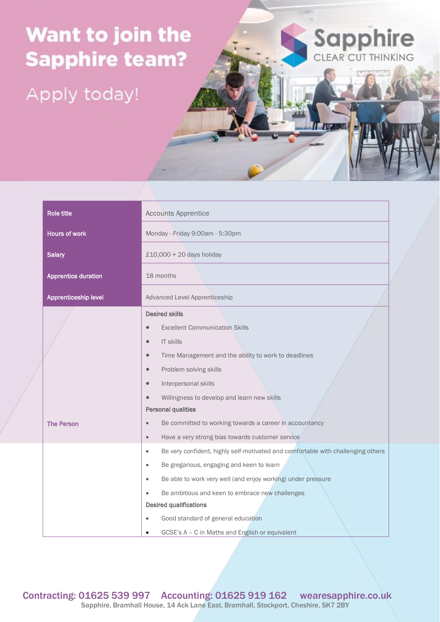## Want to join the **Sapphire team?**

Apply today!



IT **AVENUE** 

| <b>Role title</b>    | <b>Accounts Apprentice</b>                                                                    |
|----------------------|-----------------------------------------------------------------------------------------------|
| <b>Hours of work</b> | Monday - Friday 9:00am - 5:30pm                                                               |
| <b>Salary</b>        | £10,000 + 20 days holiday                                                                     |
| Apprentice duration  | 18 months                                                                                     |
| Apprenticeship level | <b>Advanced Level Apprenticeship</b>                                                          |
|                      | <b>Desired skills</b>                                                                         |
|                      | <b>Excellent Communication Skills</b><br>$\bullet$                                            |
|                      | <b>IT skills</b><br>$\bullet$                                                                 |
|                      | Time Management and the ability to work to deadlines<br>$\bullet$                             |
|                      | Problem solving skills<br>$\bullet$                                                           |
|                      | Interpersonal skills<br>$\bullet$                                                             |
|                      | Willingness to develop and learn new skills<br>$\bullet$                                      |
|                      | <b>Personal qualities</b>                                                                     |
| <b>The Person</b>    | Be committed to working towards a career in accountancy<br>$\bullet$                          |
|                      | Have a very strong bias towards customer service<br>$\bullet$                                 |
|                      | Be very confident, highly self-motivated and comfortable with challenging others<br>$\bullet$ |
|                      | Be gregarious, engaging and keen to learn<br>$\bullet$                                        |
|                      | Be able to work very well (and enjoy working) under pressure<br>$\bullet$                     |
|                      | Be ambitious and keen to embrace new challenges                                               |
|                      | <b>Desired qualifications</b>                                                                 |
|                      | Good standard of general education<br>$\bullet$                                               |
|                      | GCSE's A - C in Maths and English or equivalent<br>$\bullet$                                  |